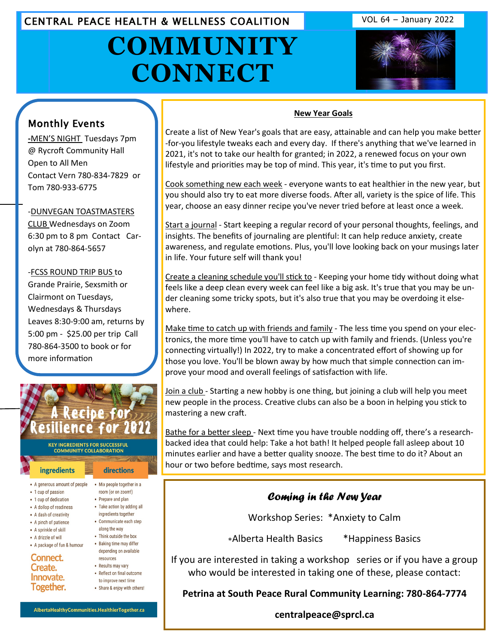CENTRAL PEACE HEALTH & WELLNESS COALITION VOL 64 - January 2022

# **COMMUNITY CONNECT**





# Monthly Events

**-**MEN'S NIGHT Tuesdays 7pm @ Rycroft Community Hall Open to All Men Contact Vern 780-834-7829 or Tom 780-933-6775

#### -DUNVEGAN TOASTMASTERS

CLUB Wednesdays on Zoom [6:30 pm to 8 pm Contact Car](http://www.eaglesham.biz/)olyn at 780-864-5657

-FCSS ROUND TRIP BUS to Grande Prairie, Sexsmith or Clairmont on Tuesdays, Wednesdays & Thursdays Leaves 8:30-9:00 am, returns by 5:00 pm - \$25.00 per trip Call 780-864-3500 to book or for more information



- A generous amount of people Mix people together in a
- 1 cup of passion
- 1 cup of dedication
- A dollop of readiness
- A dash of creativity
- A pinch of patience
- A sprinkle of skill
- A drizzle of will
- A package of fun & humour

Connect. Create. Innovate. Together.

- 
- room (or on zoom!)
- Prepare and plan
- Take action by adding all ingredients together
- Communicate each step
- along the way
- Think outside the box • Baking time may differ
- depending on available resources • Results may vary
- Reflect on final outcome
- to improve next time • Share & enjoy with others!

AlbertaHealthyCommunities.HealthierTogether.ca

#### **New Year Goals**

Create a list of New Year's goals that are easy, attainable and can help you make better -for-you lifestyle tweaks each and every day. If there's anything that we've learned in 2021, it's not to take our health for granted; in 2022, a renewed focus on your own lifestyle and priorities may be top of mind. This year, it's time to put you first.

Cook something new each week - everyone wants to eat healthier in the new year, but you should also try to eat more diverse foods. After all, variety is the spice of life. This year, choose an easy dinner recipe you've never tried before at least once a week.

Start a journal - Start keeping a regular record of your personal thoughts, feelings, and insights. The benefits of journaling are plentiful: It can help reduce anxiety, create awareness, and regulate emotions. Plus, you'll love looking back on your musings later in life. Your future self will thank you!

Create a cleaning schedule you'll stick to - Keeping your home tidy without doing what feels like a deep clean every week can feel like a big ask. It's true that you may be under cleaning some tricky spots, but it's also true that you may be overdoing it elsewhere.

Make time to catch up with friends and family - The less time you spend on your electronics, the more time you'll have to catch up with family and friends. (Unless you're connecting virtually!) In 2022, try to make a concentrated effort of showing up for those you love. You'll be blown away by how much that simple connection can improve your mood and overall feelings of satisfaction with life.

Join a club - Starting a new hobby is one thing, but joining a club will help you meet new people in the process. Creative clubs can also be a boon in helping you stick to mastering a new craft.

Bathe for a better sleep - Next time you have trouble nodding off, there's a researchbacked idea that could help: Take a hot bath! It helped people fall asleep about 10 minutes earlier and have a better quality snooze. The best time to do it? About an hour or two before bedtime, says most research.

### *Coming in the New Year*

Workshop Series: \*Anxiety to Calm

Alberta Health Basics \*Happiness Basics

If you are interested in taking a workshop series or if you have a group who would be interested in taking one of these, please contact:

**Petrina at South Peace Rural Community Learning: 780-864-7774**

**centralpeace@sprcl.ca**